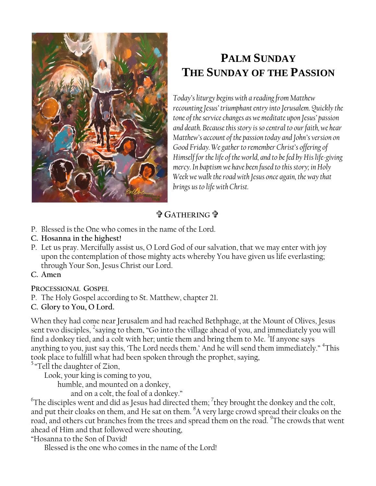

# **PALM SUNDAY THE SUNDAY OF THE PASSION**

*Today's liturgy begins with a reading from Matthew recounting Jesus' triumphant entry into Jerusalem. Quickly the tone of the service changes as we meditate upon Jesus' passion and death. Because this story is so central to our faith, we hear Matthew's account of the passion today and John's version on Good Friday. We gather to remember Christ's offering of Himself for the life of the world, and to be fed by His life-giving mercy. In baptism we have been fused to this story; in Holy Week we walk the road with Jesus once again, the way that brings us to life with Christ.*

## **GATHERING**

- P. Blessed is the One who comes in the name of the Lord.
- **C. Hosanna in the highest!**
- P. Let us pray. Mercifully assist us, O Lord God of our salvation, that we may enter with joy upon the contemplation of those mighty acts whereby You have given us life everlasting; through Your Son, Jesus Christ our Lord.
- **C. Amen**

**PROCESSIONAL GOSPEL**

- P. The Holy Gospel according to St. Matthew, chapter 21.
- **C. Glory to You, O Lord.**

When they had come near Jerusalem and had reached Bethphage, at the Mount of Olives, Jesus sent two disciples, <sup>2</sup>saying to them, "Go into the village ahead of you, and immediately you will find a donkey tied, and a colt with her; untie them and bring them to Me. <sup>3</sup>If anyone says anything to you, just say this, 'The Lord needs them.' And he will send them immediately." <sup>4</sup>This took place to fulfill what had been spoken through the prophet, saying,

<sup>5</sup> "Tell the daughter of Zion,

Look, your king is coming to you,

humble, and mounted on a donkey,

and on a colt, the foal of a donkey."

 $\mathrm{^{6}The}$  disciples went and did as Jesus had directed them;  $\mathrm{^{7}}$ they brought the donkey and the colt, and put their cloaks on them, and He sat on them. <sup>8</sup>A very large crowd spread their cloaks on the road, and others cut branches from the trees and spread them on the road.  $^9$ The crowds that went ahead of Him and that followed were shouting,

"Hosanna to the Son of David!

Blessed is the one who comes in the name of the Lord!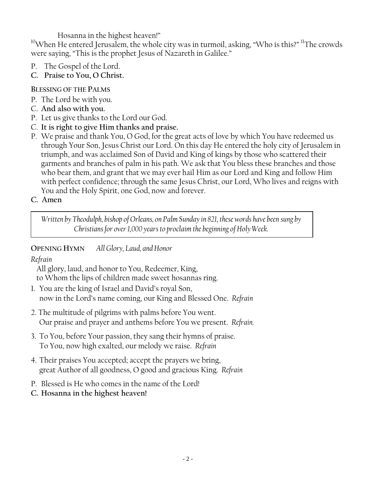Hosanna in the highest heaven!"

 $^{10}$ When He entered Jerusalem, the whole city was in turmoil, asking, "Who is this?"  $^{11}$ The crowds were saying, "This is the prophet Jesus of Nazareth in Galilee."

- P. The Gospel of the Lord.
- **C. Praise to You, O Christ.**

## **BLESSING OF THE PALMS**

- P. The Lord be with you.
- C. **And also with you.**
- P. Let us give thanks to the Lord our God.
- C. **It is right to give Him thanks and praise.**
- P. We praise and thank You, O God, for the great acts of love by which You have redeemed us through Your Son, Jesus Christ our Lord. On this day He entered the holy city of Jerusalem in triumph, and was acclaimed Son of David and King of kings by those who scattered their garments and branches of palm in his path. We ask that You bless these branches and those who bear them, and grant that we may ever hail Him as our Lord and King and follow Him with perfect confidence; through the same Jesus Christ, our Lord, Who lives and reigns with You and the Holy Spirit, one God, now and forever.
- **C. Amen**

*Written by Theodulph, bishop of Orleans, on Palm Sunday in 821, these words have been sung by Christians for over 1,000 years to proclaim the beginning of Holy Week.*

## **OPENING HYMN** *All Glory, Laud, and Honor*

## *Refrain*

All glory, laud, and honor to You, Redeemer, King, to Whom the lips of children made sweet hosannas ring.

- 1. You are the king of Israel and David's royal Son, now in the Lord's name coming, our King and Blessed One. *Refrain*
- 2. The multitude of pilgrims with palms before You went. Our praise and prayer and anthems before You we present. *Refrain.*
- 3. To You, before Your passion, they sang their hymns of praise. To You, now high exalted, our melody we raise. *Refrain*
- 4. Their praises You accepted; accept the prayers we bring, great Author of all goodness, O good and gracious King. *Refrain*
- P. Blessed is He who comes in the name of the Lord!
- **C. Hosanna in the highest heaven!**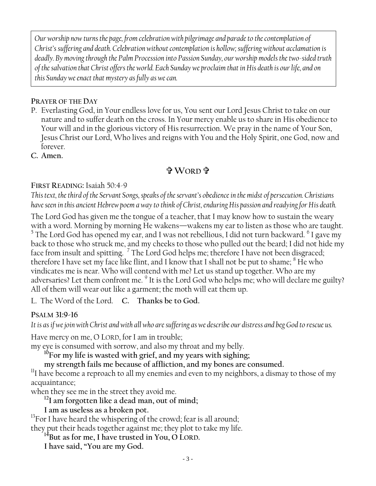*Our worship now turns the page, from celebration with pilgrimage and parade to the contemplation of Christ's suffering and death. Celebration without contemplation is hollow; suffering without acclamation is deadly. By moving through the Palm Procession into Passion Sunday, our worship models the two-sided truth of the salvation that Christ offers the world. Each Sunday we proclaim that in His death is our life, and on this Sunday we enact that mystery as fully as we can.*

#### **PRAYER OF THE DAY**

P. Everlasting God, in Your endless love for us, You sent our Lord Jesus Christ to take on our nature and to suffer death on the cross. In Your mercy enable us to share in His obedience to Your will and in the glorious victory of His resurrection. We pray in the name of Your Son, Jesus Christ our Lord, Who lives and reigns with You and the Holy Spirit, one God, now and forever.

**C. Amen.**

## **WORD**

#### **FIRST READING:** Isaiah 50:4-9

*This text, the third of the Servant Songs, speaks of the servant's obedience in the midst of persecution. Christians have seen in this ancient Hebrew poem a way to think of Christ, enduring His passion and readying for His death.*

The Lord God has given me the tongue of a teacher, that I may know how to sustain the weary with a word. Morning by morning He wakens—wakens my ear to listen as those who are taught.  $^5$  The Lord God has opened my ear, and I was not rebellious, I did not turn backward.  $^6$  I gave my back to those who struck me, and my cheeks to those who pulled out the beard; I did not hide my face from insult and spitting. <sup>7</sup> The Lord God helps me; therefore I have not been disgraced; therefore I have set my face like flint, and I know that I shall not be put to shame;  $^8$  He who vindicates me is near. Who will contend with me? Let us stand up together. Who are my adversaries? Let them confront me. <sup>9</sup> It is the Lord God who helps me; who will declare me guilty? All of them will wear out like a garment; the moth will eat them up.

L. The Word of the Lord. **C. Thanks be to God.**

#### **PSALM 31:9-16**

*It is as if we join with Christ and with all who are suffering as we describe our distress and beg God to rescue us.*

Have mercy on me, O LORD, for I am in trouble;

my eye is consumed with sorrow, and also my throat and my belly.

**<sup>10</sup>For my life is wasted with grief, and my years with sighing;**

**my strength fails me because of affliction, and my bones are consumed.**

 $11$ I have become a reproach to all my enemies and even to my neighbors, a dismay to those of my acquaintance;

when they see me in the street they avoid me.

**<sup>12</sup>I am forgotten like a dead man, out of mind;**

**I am as useless as a broken pot.** 

 $13$ For I have heard the whispering of the crowd; fear is all around;

they put their heads together against me; they plot to take my life.

**<sup>14</sup>But as for me, I have trusted in You, O LORD.**

**I have said, "You are my God.**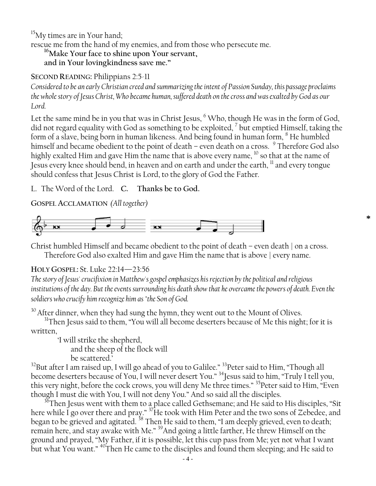<sup>15</sup>My times are in Your hand;

rescue me from the hand of my enemies, and from those who persecute me.

**<sup>16</sup>Make Your face to shine upon Your servant,**

**and in Your lovingkindness save me."**

**SECOND READING:** Philippians 2:5-11

*Considered to be an early Christian creed and summarizing the intent of Passion Sunday, this passage proclaims the whole story of Jesus Christ, Who became human, suffered death on the cross and was exalted by God as our Lord.*

Let the same mind be in you that was in Christ Jesus,  $<sup>6</sup>$  Who, though He was in the form of God,</sup> did not regard equality with God as something to be exploited, <sup>7</sup> but emptied Himself, taking the form of a slave, being born in human likeness. And being found in human form, <sup>8</sup> He humbled himself and became obedient to the point of death – even death on a cross. <sup>9</sup> Therefore God also highly exalted Him and gave Him the name that is above every name,  $^{10}$  so that at the name of Jesus every knee should bend, in heaven and on earth and under the earth, <sup>11</sup> and every tongue should confess that Jesus Christ is Lord, to the glory of God the Father.

L. The Word of the Lord. **C. Thanks be to God.**

**GOSPEL ACCLAMATION** *(All together)*



Christ humbled Himself and became obedient to the point of death – even death | on a cross. Therefore God also exalted Him and gave Him the name that is above | every name.

**\***

#### **HOLY GOSPEL:** St. Luke 22:14—23:56

*The story of Jesus' crucifixion in Matthew's gospel emphasizes his rejection by the political and religious*  institutions of the day. But the events surrounding his death show that he overcame the powers of death. Even the *soldiers who crucify him recognize him as "the Son of God.*

<sup>30</sup> After dinner, when they had sung the hymn, they went out to the Mount of Olives.

<sup>31</sup>Then Jesus said to them, "You will all become deserters because of Me this night; for it is written,

'I will strike the shepherd, and the sheep of the flock will be scattered.'

 $32$ But after I am raised up, I will go ahead of you to Galilee."  $33$ Peter said to Him, "Though all become deserters because of You, I will never desert You." <sup>34</sup>Jesus said to him, "Truly I tell you, this very night, before the cock crows, you will deny Me three times." <sup>35</sup>Peter said to Him, "Even though I must die with You, I will not deny You." And so said all the disciples.

 $^{36}$ Then Jesus went with them to a place called Gethsemane; and He said to His disciples, "Sit here while I go over there and pray."  $^{37}$ He took with Him Peter and the two sons of Zebedee, and began to be grieved and agitated.  $^{38}$  Then He said to them, "I am deeply grieved, even to death; remain here, and stay awake with Me." <sup>39</sup>And going a little farther, He threw Himself on the ground and prayed, "My Father, if it is possible, let this cup pass from Me; yet not what I want but what You want." <sup>40</sup>Then He came to the disciples and found them sleeping; and He said to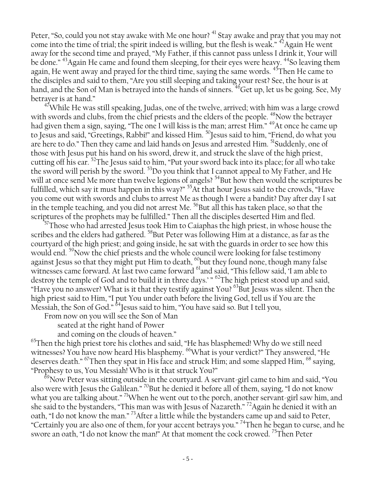Peter, "So, could you not stay awake with Me one hour?<sup>41</sup> Stay awake and pray that you may not come into the time of trial; the spirit indeed is willing, but the flesh is weak."  $42$ Again He went away for the second time and prayed, "My Father, if this cannot pass unless I drink it, Your will be done."<sup>43</sup>Again He came and found them sleeping, for their eyes were heavy.<sup>44</sup>So leaving them again, He went away and prayed for the third time, saying the same words. <sup>45</sup>Then He came to the disciples and said to them, "Are you still sleeping and taking your rest? See, the hour is at hand, and the Son of Man is betrayed into the hands of sinners. <sup>46</sup>Get up, let us be going. See, My betrayer is at hand."

 $47$ While He was still speaking, Judas, one of the twelve, arrived; with him was a large crowd with swords and clubs, from the chief priests and the elders of the people. <sup>48</sup>Now the betrayer had given them a sign, saying, "The one I will kiss is the man; arrest Him." <sup>49</sup>At once he came up to Jesus and said, "Greetings, Rabbi!" and kissed Him. <sup>50</sup>Jesus said to him, "Friend, do what you are here to do." Then they came and laid hands on Jesus and arrested Him. <sup>51</sup>Suddenly, one of those with Jesus put his hand on his sword, drew it, and struck the slave of the high priest, cutting off his ear. <sup>52</sup>The Jesus said to him, "Put your sword back into its place; for all who take the sword will perish by the sword. <sup>53</sup>Do you think that I cannot appeal to My Father, and He will at once send Me more than twelve legions of angels?<sup>54</sup>But how then would the scriptures be fulfilled, which say it must happen in this way?" <sup>55</sup>At that hour Jesus said to the crowds, "Have you come out with swords and clubs to arrest Me as though I were a bandit? Day after day I sat in the temple teaching, and you did not arrest Me.  $56$ But all this has taken place, so that the scriptures of the prophets may be fulfilled." Then all the disciples deserted Him and fled.

 $^{57}$ Those who had arrested Jesus took Him to Caiaphas the high priest, in whose house the scribes and the elders had gathered. <sup>58</sup>But Peter was following Him at a distance, as far as the courtyard of the high priest; and going inside, he sat with the guards in order to see how this would end. <sup>59</sup>Now the chief priests and the whole council were looking for false testimony against Jesus so that they might put Him to death, <sup>60</sup>but they found none, though many false witnesses came forward. At last two came forward <sup>61</sup>and said, "This fellow said, 'I am able to destroy the temple of God and to build it in three days.' "<sup>62</sup>The high priest stood up and said, "Have you no answer? What is it that they testify against You? <sup>63</sup>But Jesus was silent. Then the high priest said to Him, "I put You under oath before the living God, tell us if You are the Messiah, the Son of God."  $64$ Jesus said to him, "You have said so. But I tell you,

From now on you will see the Son of Man

seated at the right hand of Power

and coming on the clouds of heaven."

 $65$ Then the high priest tore his clothes and said, "He has blasphemed! Why do we still need witnesses? You have now heard His blasphemy. <sup>66</sup>What is your verdict?" They answered, "He deserves death." <sup>67</sup>Then they spat in His face and struck Him; and some slapped Him, <sup>68</sup> saying, "Prophesy to us, You Messiah! Who is it that struck You?"

 $^{69}$ Now Peter was sitting outside in the courtyard. A servant-girl came to him and said, "You also were with Jesus the Galilean." <sup>70</sup>But he denied it before all of them, saying, "I do not know what you are talking about." <sup>71</sup>When he went out to the porch, another servant-girl saw him, and she said to the bystanders, "This man was with Jesus of Nazareth." <sup>72</sup>Again he denied it with an oath, "I do not know the man." <sup>73</sup> After a little while the bystanders came up and said to Peter, "Certainly you are also one of them, for your accent betrays you." <sup>74</sup>Then he began to curse, and he swore an oath, "I do not know the man!" At that moment the cock crowed. <sup>75</sup>Then Peter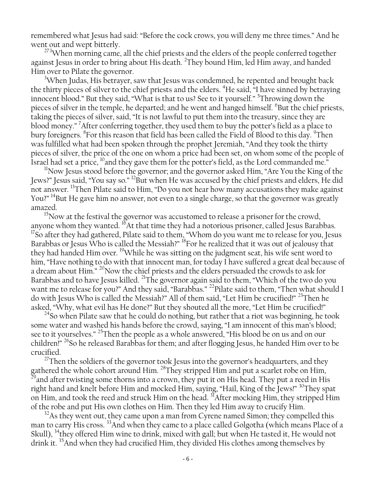remembered what Jesus had said: "Before the cock crows, you will deny me three times." And he went out and wept bitterly.

<sup>27:1</sup>When morning came, all the chief priests and the elders of the people conferred together against Jesus in order to bring about His death. <sup>2</sup>They bound Him, led Him away, and handed Him over to Pilate the governor.

<sup>3</sup>When Judas, His betrayer, saw that Jesus was condemned, he repented and brought back the thirty pieces of silver to the chief priests and the elders. <sup>4</sup>He said, "I have sinned by betraying innocent blood." But they said, "What is that to us? See to it yourself." <sup>5</sup> Throwing down the pieces of silver in the temple, he departed; and he went and hanged himself. <sup>6</sup>But the chief priests, taking the pieces of silver, said, "It is not lawful to put them into the treasury, since they are blood money." After conferring together, they used them to buy the potter's field as a place to bury foreigners. <sup>8</sup>For this reason that field has been called the Field of Blood to this day. <sup>9</sup>Then was fulfilled what had been spoken through the prophet Jeremiah, "And they took the thirty pieces of silver, the price of the one on whom a price had been set, on whom some of the people of Israel had set a price,  $^{10}$ and they gave them for the potter's field, as the Lord commanded me."

<sup>11</sup>Now Jesus stood before the governor; and the governor asked Him, "Are You the King of the Jews?" Jesus said, "You say so." <sup>12</sup>But when He was accused by the chief priests and elders, He did not answer. <sup>13</sup>Then Pilate said to Him, "Do you not hear how many accusations they make against You?" <sup>14</sup>But He gave him no answer, not even to a single charge, so that the governor was greatly amazed.

<sup>15</sup>Now at the festival the governor was accustomed to release a prisoner for the crowd, anyone whom they wanted.  $^{16}$ At that time they had a notorious prisoner, called Jesus Barabbas.  $17$ So after they had gathered, Pilate said to them, "Whom do you want me to release for you, Jesus Barabbas or Jesus Who is called the Messiah?" <sup>18</sup>For he realized that it was out of jealousy that they had handed Him over. <sup>19</sup>While he was sitting on the judgment seat, his wife sent word to him, "Have nothing to do with that innocent man, for today I have suffered a great deal because of a dream about Him." <sup>20</sup>Now the chief priests and the elders persuaded the crowds to ask for Barabbas and to have Jesus killed. <sup>21</sup>The governor again said to them, "Which of the two do you want me to release for you?" And they said, "Barabbas." <sup>22</sup>Pilate said to them, "Then what should I do with Jesus Who is called the Messiah?" All of them said, "Let Him be crucified!" <sup>23</sup>Then he asked, "Why, what evil has He done?" But they shouted all the more, "Let Him be crucified!"

 $^{24}$ So when Pilate saw that he could do nothing, but rather that a riot was beginning, he took some water and washed his hands before the crowd, saying, "I am innocent of this man's blood; see to it yourselves." <sup>25</sup>Then the people as a whole answered, "His blood be on us and on our children!" <sup>26</sup>So he released Barabbas for them; and after flogging Jesus, he handed Him over to be crucified.

 $27$ Then the soldiers of the governor took Jesus into the governor's headquarters, and they gathered the whole cohort around Him. <sup>28</sup>They stripped Him and put a scarlet robe on Him,  $^{29}$ and after twisting some thorns into a crown, they put it on His head. They put a reed in His right hand and knelt before Him and mocked Him, saying, "Hail, King of the Jews!" <sup>30</sup>They spat on Him, and took the reed and struck Him on the head. <sup>31</sup>After mocking Him, they stripped Him of the robe and put His own clothes on Him. Then they led Him away to crucify Him.

 $32\text{As}$  they went out, they came upon a man from Cyrene named Simon; they compelled this man to carry His cross.<sup>33</sup>And when they came to a place called Golgotha (which means Place of a Skull), <sup>34</sup>they offered Him wine to drink, mixed with gall; but when He tasted it, He would not drink it. <sup>35</sup>And when they had crucified Him, they divided His clothes among themselves by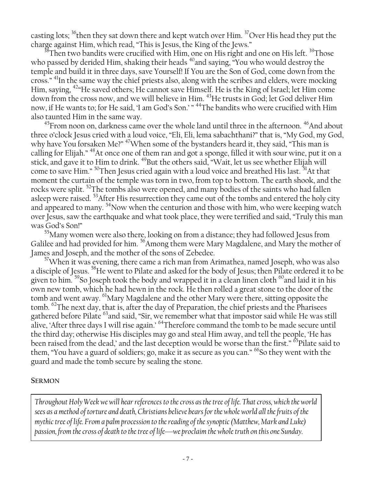casting lots; <sup>36</sup>then they sat down there and kept watch over Him. <sup>37</sup>Over His head they put the charge against Him, which read, "This is Jesus, the King of the Jews."

 $^{38}$ Then two bandits were crucified with Him, one on His right and one on His left.  $^{39}$ Those who passed by derided Him, shaking their heads  $40^{\circ}$  and saying, "You who would destroy the temple and build it in three days, save Yourself! If You are the Son of God, come down from the cross." <sup>41</sup>In the same way the chief priests also, along with the scribes and elders, were mocking Him, saying, <sup>42</sup>"He saved others; He cannot save Himself. He is the King of Israel; let Him come down from the cross now, and we will believe in Him. <sup>43</sup>He trusts in God; let God deliver Him now, if He wants to; for He said, 'I am God's Son.' " <sup>44</sup>The bandits who were crucified with Him also taunted Him in the same way.

 $^{45}$ From noon on, darkness came over the whole land until three in the afternoon.  $^{46}$ And about three o'clock Jesus cried with a loud voice, "Eli, Eli, lema sabachthani?" that is, "My God, my God, why have You forsaken Me?" <sup>47</sup>When some of the bystanders heard it, they said, "This man is calling for Elijah." <sup>48</sup>At once one of them ran and got a sponge, filled it with sour wine, put it on a stick, and gave it to Him to drink. <sup>49</sup>But the others said, "Wait, let us see whether Elijah will come to save Him." <sup>50</sup>Then Jesus cried again with a loud voice and breathed His last. <sup>51</sup>At that moment the curtain of the temple was torn in two, from top to bottom. The earth shook, and the rocks were split. <sup>52</sup>The tombs also were opened, and many bodies of the saints who had fallen asleep were raised. <sup>53</sup>After His resurrection they came out of the tombs and entered the holy city and appeared to many.  $54$ Now when the centurion and those with him, who were keeping watch over Jesus, saw the earthquake and what took place, they were terrified and said, "Truly this man was God's Son!"

<sup>55</sup>Many women were also there, looking on from a distance; they had followed Jesus from Galilee and had provided for him. <sup>56</sup>Among them were Mary Magdalene, and Mary the mother of James and Joseph, and the mother of the sons of Zebedee.

 $57$ When it was evening, there came a rich man from Arimathea, named Joseph, who was also a disciple of Jesus. <sup>58</sup>He went to Pilate and asked for the body of Jesus; then Pilate ordered it to be given to him.  $59$ So Joseph took the body and wrapped it in a clean linen cloth  $60$  and laid it in his own new tomb, which he had hewn in the rock. He then rolled a great stone to the door of the tomb and went away. <sup>61</sup>Mary Magdalene and the other Mary were there, sitting opposite the tomb. <sup>62</sup>The next day, that is, after the day of Preparation, the chief priests and the Pharisees gathered before Pilate <sup>63</sup> and said, "Sir, we remember what that impostor said while He was still alive, 'After three days I will rise again.' <sup>64</sup>Therefore command the tomb to be made secure until the third day; otherwise His disciples may go and steal Him away, and tell the people, 'He has been raised from the dead,' and the last deception would be worse than the first." <sup>65</sup>Pilate said to them, "You have a guard of soldiers; go, make it as secure as you can." <sup>66</sup>So they went with the guard and made the tomb secure by sealing the stone.

#### **SERMON**

*Throughout Holy Week we will hear references to the cross as the tree of life. That cross, which the world sees as a method of torture and death, Christians believe bears for the whole world all the fruits of the mythic tree of life. From a palm procession to the reading of the synoptic (Matthew, Mark and Luke) passion, from the cross of death to the tree of life*—*we proclaim the whole truth on this one Sunday.*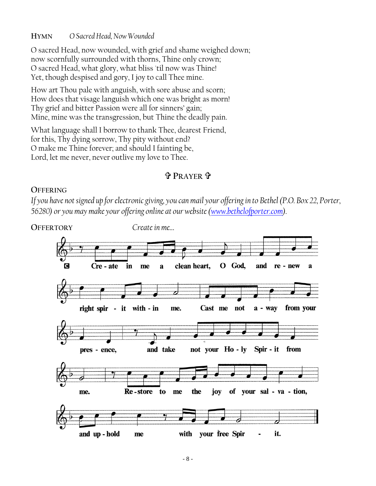#### **HYMN** *O Sacred Head, Now Wounded*

O sacred Head, now wounded, with grief and shame weighed down; now scornfully surrounded with thorns, Thine only crown; O sacred Head, what glory, what bliss 'til now was Thine! Yet, though despised and gory, I joy to call Thee mine.

How art Thou pale with anguish, with sore abuse and scorn; How does that visage languish which one was bright as morn! Thy grief and bitter Passion were all for sinners' gain; Mine, mine was the transgression, but Thine the deadly pain.

What language shall I borrow to thank Thee, dearest Friend, for this, Thy dying sorrow, Thy pity without end? O make me Thine forever; and should I fainting be, Lord, let me never, never outlive my love to Thee.

## **PRAYER**

#### **OFFERING**

*If you have not signed up for electronic giving, you can mail your offering in to Bethel (P.O. Box 22, Porter, 56280) or you may make your offering online at our website [\(www.bethelofporter.com\)](http://www.bethelofporter.com/).* 

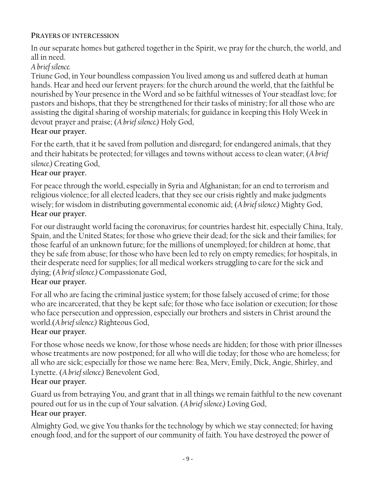#### **PRAYERS OF INTERCESSION**

In our separate homes but gathered together in the Spirit, we pray for the church, the world, and all in need.

## *A brief silence.*

Triune God, in Your boundless compassion You lived among us and suffered death at human hands. Hear and heed our fervent prayers: for the church around the world, that the faithful be nourished by Your presence in the Word and so be faithful witnesses of Your steadfast love; for pastors and bishops, that they be strengthened for their tasks of ministry; for all those who are assisting the digital sharing of worship materials; for guidance in keeping this Holy Week in devout prayer and praise; (*A brief silence.)* Holy God,

## **Hear our prayer.**

For the earth, that it be saved from pollution and disregard; for endangered animals, that they and their habitats be protected; for villages and towns without access to clean water; (*A brief silence.)* Creating God,

## **Hear our prayer.**

For peace through the world, especially in Syria and Afghanistan; for an end to terrorism and religious violence; for all elected leaders, that they see our crisis rightly and make judgments wisely; for wisdom in distributing governmental economic aid; (*A brief silence.)* Mighty God, **Hear our prayer.**

For our distraught world facing the coronavirus; for countries hardest hit, especially China, Italy, Spain, and the United States; for those who grieve their dead; for the sick and their families; for those fearful of an unknown future; for the millions of unemployed; for children at home, that they be safe from abuse; for those who have been led to rely on empty remedies; for hospitals, in their desperate need for supplies; for all medical workers struggling to care for the sick and dying; (*A brief silence.)* Compassionate God,

## **Hear our prayer.**

For all who are facing the criminal justice system; for those falsely accused of crime; for those who are incarcerated, that they be kept safe; for those who face isolation or execution; for those who face persecution and oppression, especially our brothers and sisters in Christ around the world.(*A brief silence.)* Righteous God,

## **Hear our prayer.**

For those whose needs we know, for those whose needs are hidden; for those with prior illnesses whose treatments are now postponed; for all who will die today; for those who are homeless; for all who are sick; especially for those we name here: Bea, Merv, Emily, Dick, Angie, Shirley, and Lynette. (*A brief silence.)* Benevolent God,

## **Hear our prayer.**

Guard us from betraying You, and grant that in all things we remain faithful to the new covenant poured out for us in the cup of Your salvation. (*A brief silence.)* Loving God, **Hear our prayer.**

## Almighty God, we give You thanks for the technology by which we stay connected; for having enough food, and for the support of our community of faith. You have destroyed the power of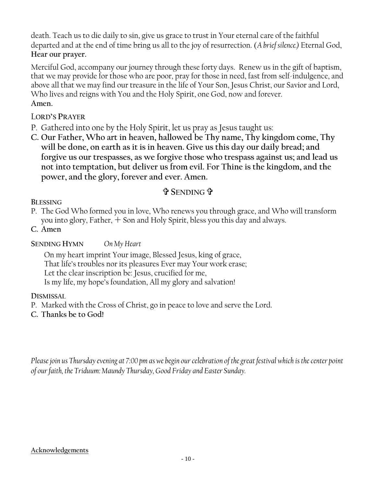death. Teach us to die daily to sin, give us grace to trust in Your eternal care of the faithful departed and at the end of time bring us all to the joy of resurrection. (*A brief silence.)* Eternal God, **Hear our prayer.**

Merciful God, accompany our journey through these forty days. Renew us in the gift of baptism, that we may provide for those who are poor, pray for those in need, fast from self-indulgence, and above all that we may find our treasure in the life of Your Son, Jesus Christ, our Savior and Lord, Who lives and reigns with You and the Holy Spirit, one God, now and forever. **Amen.**

## L**ORD'S PRAYER**

- P. Gathered into one by the Holy Spirit, let us pray as Jesus taught us:
- **C. Our Father, Who art in heaven, hallowed be Thy name, Thy kingdom come, Thy will be done, on earth as it is in heaven. Give us this day our daily bread; and forgive us our trespasses, as we forgive those who trespass against us; and lead us not into temptation, but deliver us from evil. For Thine is the kingdom, and the power, and the glory, forever and ever. Amen.**

## **SENDING**

#### **BLESSING**

P. The God Who formed you in love, Who renews you through grace, and Who will transform you into glory, Father,  $+$  Son and Holy Spirit, bless you this day and always.

**C. Amen**

### **SENDING HYMN** *On My Heart*

On my heart imprint Your image, Blessed Jesus, king of grace, That life's troubles nor its pleasures Ever may Your work erase; Let the clear inscription be: Jesus, crucified for me, Is my life, my hope's foundation, All my glory and salvation!

#### **DISMISSAL**

- P. Marked with the Cross of Christ, go in peace to love and serve the Lord.
- **C. Thanks be to God!**

*Please join us Thursday evening at 7:00 pm as we begin our celebration of the great festival which is the center point of our faith, the Triduum: Maundy Thursday, Good Friday and Easter Sunday.*